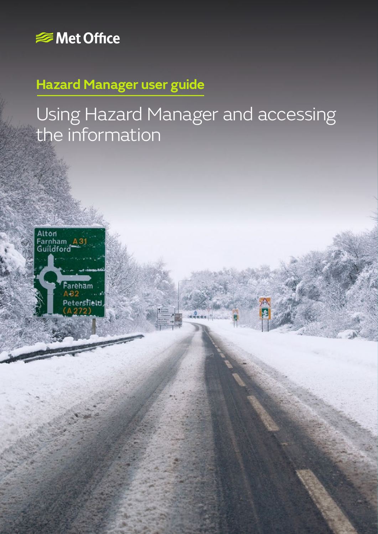

# **Hazard Manager user guide**

# Using Hazard Manager and accessing the information

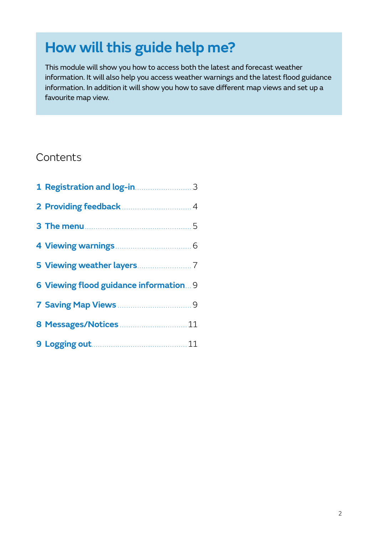# **How will this guide help me?**

This module will show you how to access both the latest and forecast weather information. It will also help you access weather warnings and the latest flood guidance information. In addition it will show you how to save different map views and set up a favourite map view.

### **Contents**

| 1 Registration and log-in manuscript 3 |  |
|----------------------------------------|--|
|                                        |  |
|                                        |  |
|                                        |  |
|                                        |  |
| 6 Viewing flood guidance information 9 |  |
|                                        |  |
| 8 Messages/Notices  11                 |  |
|                                        |  |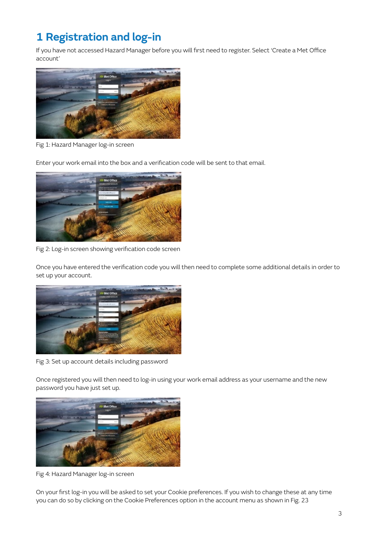### **1 Registration and log-in**

If you have not accessed Hazard Manager before you will first need to register. Select 'Create a Met Office account'



Fig 1: Hazard Manager log-in screen

Enter your work email into the box and a verification code will be sent to that email.



Fig 2: Log-in screen showing verification code screen

Once you have entered the verification code you will then need to complete some additional details in order to set up your account.



Fig 3: Set up account details including password

Once registered you will then need to log-in using your work email address as your username and the new password you have just set up.



Fig 4: Hazard Manager log-in screen

On your first log-in you will be asked to set your Cookie preferences. If you wish to change these at any time you can do so by clicking on the Cookie Preferences option in the account menu as shown in Fig. 23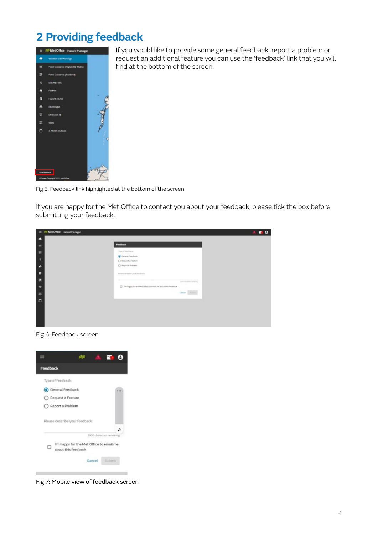### **2 Providing feedback**



If you would like to provide some general feedback, report a problem or request an additional feature you can use the 'feedback' link that you will find at the bottom of the screen.

Fig 5: Feedback link highlighted at the bottom of the screen

If you are happy for the Met Office to contact you about your feedback, please tick the box before submitting your feedback.

|                | - di Met Office Hazard Manager                                 | г |
|----------------|----------------------------------------------------------------|---|
| е              |                                                                |   |
| $\blacksquare$ | <b>Feedback</b>                                                |   |
| $\blacksquare$ | Type of Tendingle                                              |   |
| n              | Construction<br>C Request a Feature                            |   |
| $\bullet$      | C Report a Problem                                             |   |
| ×              | Please detective your femaliseds:                              |   |
| ×              | panel total largest declipting.                                |   |
| $\overline{u}$ | [3] Findages for the PM Office to areal me about this feedback |   |
| $\mathfrak{m}$ | Corest School                                                  |   |
| $\Box$         |                                                                |   |
|                |                                                                |   |
|                |                                                                |   |
|                |                                                                |   |

Fig 6: Feedback screen



Fig 7: Mobile view of feedback screen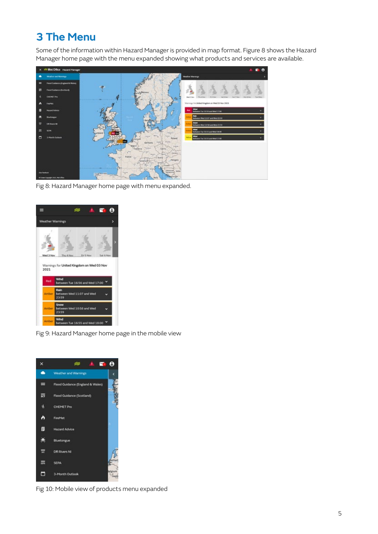### **3 The Menu**

Some of the information within Hazard Manager is provided in map format. Figure 8 shows the Hazard Manager home page with the menu expanded showing what products and services are available.



Fig 8: Hazard Manager home page with menu expanded.



Fig 9: Hazard Manager home page in the mobile view



Fig 10: Mobile view of products menu expanded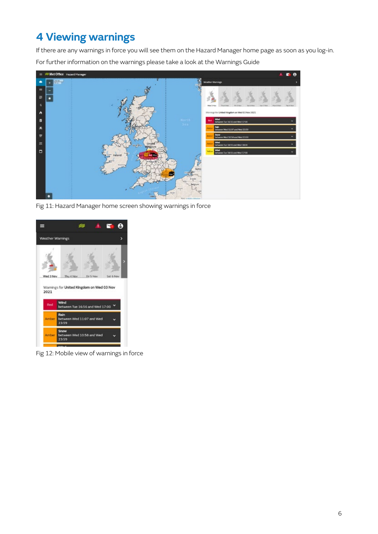### **4 Viewing warnings**

If there are any warnings in force you will see them on the Hazard Manager home page as soon as you log-in. For further information on the warnings please take a look at the Warnings Guide



Fig 11: Hazard Manager home screen showing warnings in force



Fig 12: Mobile view of warnings in force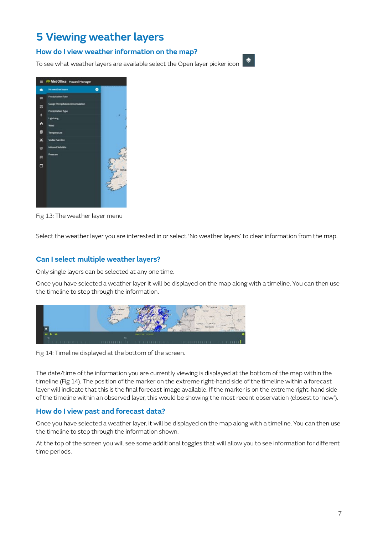### **5 Viewing weather layers**

#### **How do I view weather information on the map?**

To see what weather layers are available select the Open layer picker icon



|     | S Met Office Hazard Manager      |   |      |
|-----|----------------------------------|---|------|
| ∙   | No weather layers                | ۰ |      |
| ۰   | <b>Precipitation Rate</b>        |   |      |
| 環   | Gauge Precipitation Accumulation |   |      |
| 11, | Precipitation Type               |   |      |
|     | Lightning                        |   |      |
| ò   | Wind                             |   |      |
| Ø   | Temperature                      |   |      |
| ×   | <b>Visible Satellite</b>         |   |      |
| 았   | Infrared Satellite               |   |      |
| m   | Pressure                         |   |      |
|     |                                  |   |      |
| Ξ   |                                  |   | (rel |
|     |                                  |   |      |
|     |                                  |   |      |
|     |                                  |   |      |
|     |                                  |   |      |
|     |                                  |   |      |
|     |                                  |   |      |

Fig 13: The weather layer menu

Select the weather layer you are interested in or select 'No weather layers' to clear information from the map.

#### **Can I select multiple weather layers?**

Only single layers can be selected at any one time.

Once you have selected a weather layer it will be displayed on the map along with a timeline. You can then use the timeline to step through the information.



Fig 14: Timeline displayed at the bottom of the screen.

The date/time of the information you are currently viewing is displayed at the bottom of the map within the timeline (Fig 14). The position of the marker on the extreme right-hand side of the timeline within a forecast layer will indicate that this is the final forecast image available. If the marker is on the extreme right-hand side of the timeline within an observed layer, this would be showing the most recent observation (closest to 'now').

#### **How do I view past and forecast data?**

Once you have selected a weather layer, it will be displayed on the map along with a timeline. You can then use the timeline to step through the information shown.

At the top of the screen you will see some additional toggles that will allow you to see information for different time periods.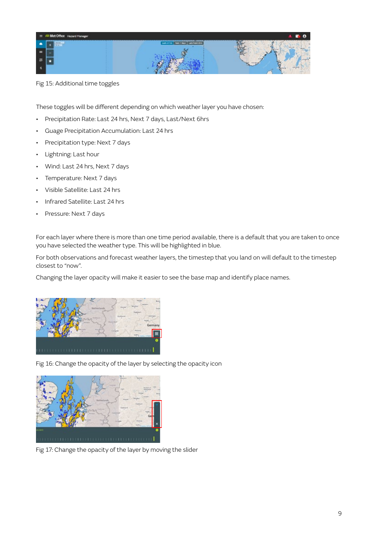

Fig 15: Additional time toggles

These toggles will be different depending on which weather layer you have chosen:

- Precipitation Rate: Last 24 hrs, Next 7 days, Last/Next 6hrs
- Guage Precipitation Accumulation: Last 24 hrs
- Precipitation type: Next 7 days
- Lightning: Last hour
- Wind: Last 24 hrs, Next 7 days
- Temperature: Next 7 days
- Visible Satellite: Last 24 hrs
- Infrared Satellite: Last 24 hrs
- Pressure: Next 7 days

For each layer where there is more than one time period available, there is a default that you are taken to once you have selected the weather type. This will be highlighted in blue.

For both observations and forecast weather layers, the timestep that you land on will default to the timestep closest to "now".

Changing the layer opacity will make it easier to see the base map and identify place names.



Fig 16: Change the opacity of the layer by selecting the opacity icon



Fig 17: Change the opacity of the layer by moving the slider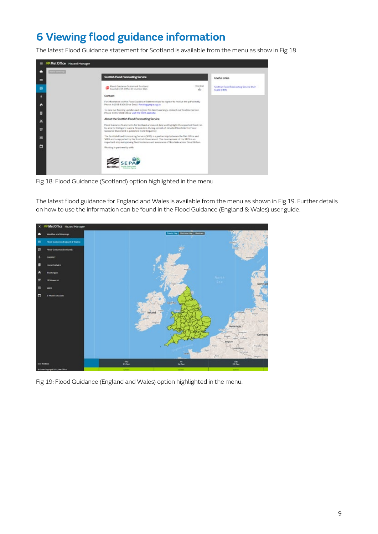### **6 Viewing flood guidance information**

The latest Flood Guidance statement for Scotland is available from the menu as show in Fig 18



Fig 18: Flood Guidance (Scotland) option highlighted in the menu

The latest flood guidance for England and Wales is available from the menu as shown in Fig 19. Further details on how to use the information can be found in the Flood Guidance (England & Wales) user guide.



Fig 19: Flood Guidance (England and Wales) option highlighted in the menu.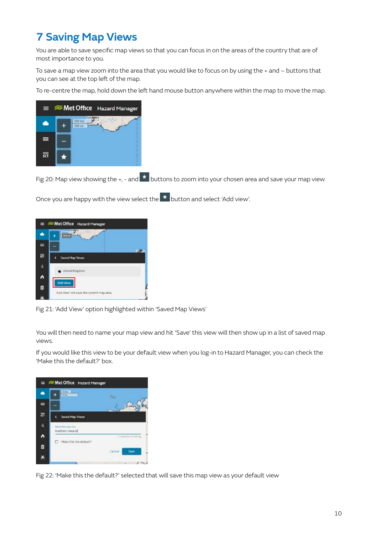### **7 Saving Map Views**

You are able to save specific map views so that you can focus in on the areas of the country that are of most importance to you.

To save a map view zoom into the area that you would like to focus on by using the + and – buttons that you can see at the top left of the map.

To re-centre the map, hold down the left hand mouse button anywhere within the map to move the map.



Fig 20: Map view showing the +, - and  $\overline{\star}$  buttons to zoom into your chosen area and save your map view

Once you are happy with the view select the **\*** button and select 'Add view'.

|   | Met Office Hazard Manager                 |            |  |
|---|-------------------------------------------|------------|--|
|   | Forest<br><b>Sider</b>                    |            |  |
| ≋ |                                           | <b>COM</b> |  |
| 济 | Saved Map Views                           |            |  |
| W | United Kingdom                            |            |  |
| ò | <b>Add View</b>                           |            |  |
| ø | 'Add View' will save the current map area |            |  |
| Ф |                                           |            |  |

Fig 21: 'Add View' option highlighted within 'Saved Map Views'

You will then need to name your map view and hit 'Save' this view will then show up in a list of saved map views.

If you would like this view to be your default view when you log-in to Hazard Manager, you can check the 'Make this the default?' box.



Fig 22: 'Make this the default?' selected that will save this map view as your default view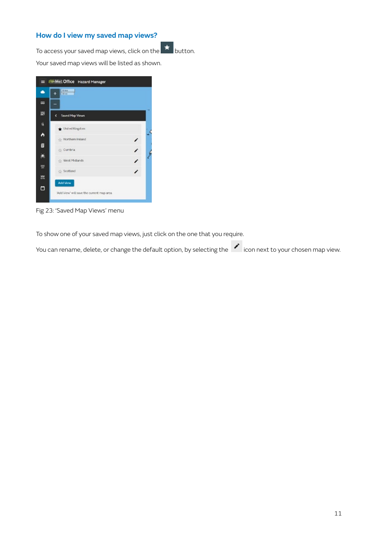#### **How do I view my saved map views?**

To access your saved map views, click on the  $\left| \star \right|$  button.

Your saved map views will be listed as shown.

| 50 km<br>$33 \text{ }\text{cm}$<br>٠ |   |
|--------------------------------------|---|
|                                      |   |
| ×<br>Saved Map Views                 |   |
| United Kingdom                       |   |
| Northern Ireland                     | v |
| Cumbria                              | ∕ |
| West Midlands                        | , |
| Scotland                             | ∕ |
| Add View                             |   |

Fig 23: 'Saved Map Views' menu

To show one of your saved map views, just click on the one that you require.

You can rename, delete, or change the default option, by selecting the **1999** icon next to your chosen map view.